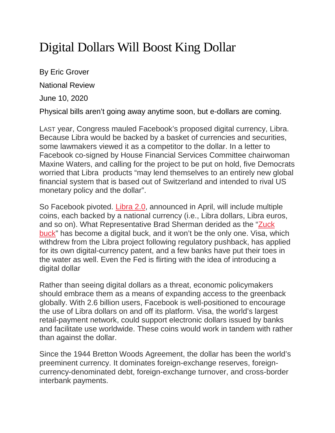## Digital Dollars Will Boost King Dollar

By Eric Grover National Review June 10, 2020

Physical bills aren't going away anytime soon, but e-dollars are coming.

LAST year, Congress mauled Facebook's proposed digital currency, Libra. Because Libra would be backed by a basket of currencies and securities, some lawmakers viewed it as a competitor to the dollar. In a letter to Facebook co-signed by House Financial Services Committee chairwoman Maxine Waters, and calling for the project to be put on hold, five Democrats worried that Libra products "may lend themselves to an entirely new global financial system that is based out of Switzerland and intended to rival US monetary policy and the dollar".

So Facebook pivoted. [Libra](https://libra.org/en-US/white-paper/) 2.0, announced in April, will include multiple coins, each backed by a national currency (i.e., Libra dollars, Libra euros, and so on). What Representative Brad Sherman derided as the ["Zuck](https://www.boston.com/news/politics/2019/07/17/house-democrats-press-facebook-to-scale-back-currency-plan) [buck"](https://www.boston.com/news/politics/2019/07/17/house-democrats-press-facebook-to-scale-back-currency-plan) has become a digital buck, and it won't be the only one. Visa, which withdrew from the Libra project following regulatory pushback, has applied for its own digital-currency patent, and a few banks have put their toes in the water as well. Even the Fed is flirting with the idea of introducing a digital dollar

Rather than seeing digital dollars as a threat, economic policymakers should embrace them as a means of expanding access to the greenback globally. With 2.6 billion users, Facebook is well-positioned to encourage the use of Libra dollars on and off its platform. Visa, the world's largest retail-payment network, could support electronic dollars issued by banks and facilitate use worldwide. These coins would work in tandem with rather than against the dollar.

Since the 1944 Bretton Woods Agreement, the dollar has been the world's preeminent currency. It dominates foreign-exchange reserves, foreigncurrency-denominated debt, foreign-exchange turnover, and cross-border interbank payments.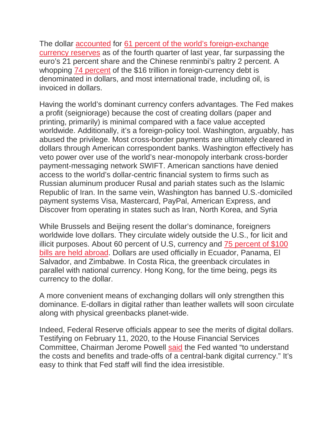The dollar [accounted](https://howmuch.net/articles/worlds-top-reserve-currencies-2019) for 61 percent of the world's [foreign-exchange](https://data.imf.org/?sk=E6A5F467-C14B-4AA8-9F6D-5A09EC4E62A4) [currency](https://data.imf.org/?sk=E6A5F467-C14B-4AA8-9F6D-5A09EC4E62A4) reserves as of the fourth quarter of last year, far surpassing the euro's 21 percent share and the Chinese renminbi's paltry 2 percent. A whopping 74 [percent](https://www.reuters.com/article/us-global-markets-debt/new-high-water-mark-for-global-foreign-currency-debt-idUSKBN1X921E) of the \$16 trillion in foreign-currency debt is denominated in dollars, and most international trade, including oil, is invoiced in dollars.

Having the world's dominant currency confers advantages. The Fed makes a profit (seigniorage) because the cost of creating dollars (paper and printing, primarily) is minimal compared with a face value accepted worldwide. Additionally, it's a foreign-policy tool. Washington, arguably, has abused the privilege. Most cross-border payments are ultimately cleared in dollars through American correspondent banks. Washington effectively has veto power over use of the world's near-monopoly interbank cross-border payment-messaging network SWIFT. American sanctions have denied access to the world's dollar-centric financial system to firms such as Russian aluminum producer Rusal and pariah states such as the Islamic Republic of Iran. In the same vein, Washington has banned U.S.-domiciled payment systems Visa, Mastercard, PayPal, American Express, and Discover from operating in states such as Iran, North Korea, and Syria

While Brussels and Beijing resent the dollar's dominance, foreigners worldwide love dollars. They circulate widely outside the U.S., for licit and illicit purposes. About 60 percent of U.S, currency and 75 [percent](https://www.econstor.eu/bitstream/10419/162910/1/Judson.pdf) of \$100 bills are held [abroad.](https://www.econstor.eu/bitstream/10419/162910/1/Judson.pdf) Dollars are used officially in Ecuador, Panama, El Salvador, and Zimbabwe. In Costa Rica, the greenback circulates in parallel with national currency. Hong Kong, for the time being, pegs its currency to the dollar.

A more convenient means of exchanging dollars will only strengthen this dominance. E-dollars in digital rather than leather wallets will soon circulate along with physical greenbacks planet-wide.

Indeed, Federal Reserve officials appear to see the merits of digital dollars. Testifying on February 11, 2020, to the House Financial Services Committee, Chairman Jerome Powell [said](https://www.crowdfundinsider.com/2020/02/157376-fed-chairman-powell-asked-about-cbdcs-its-an-open-question/) the Fed wanted "to understand the costs and benefits and trade-offs of a central-bank digital currency." It's easy to think that Fed staff will find the idea irresistible.